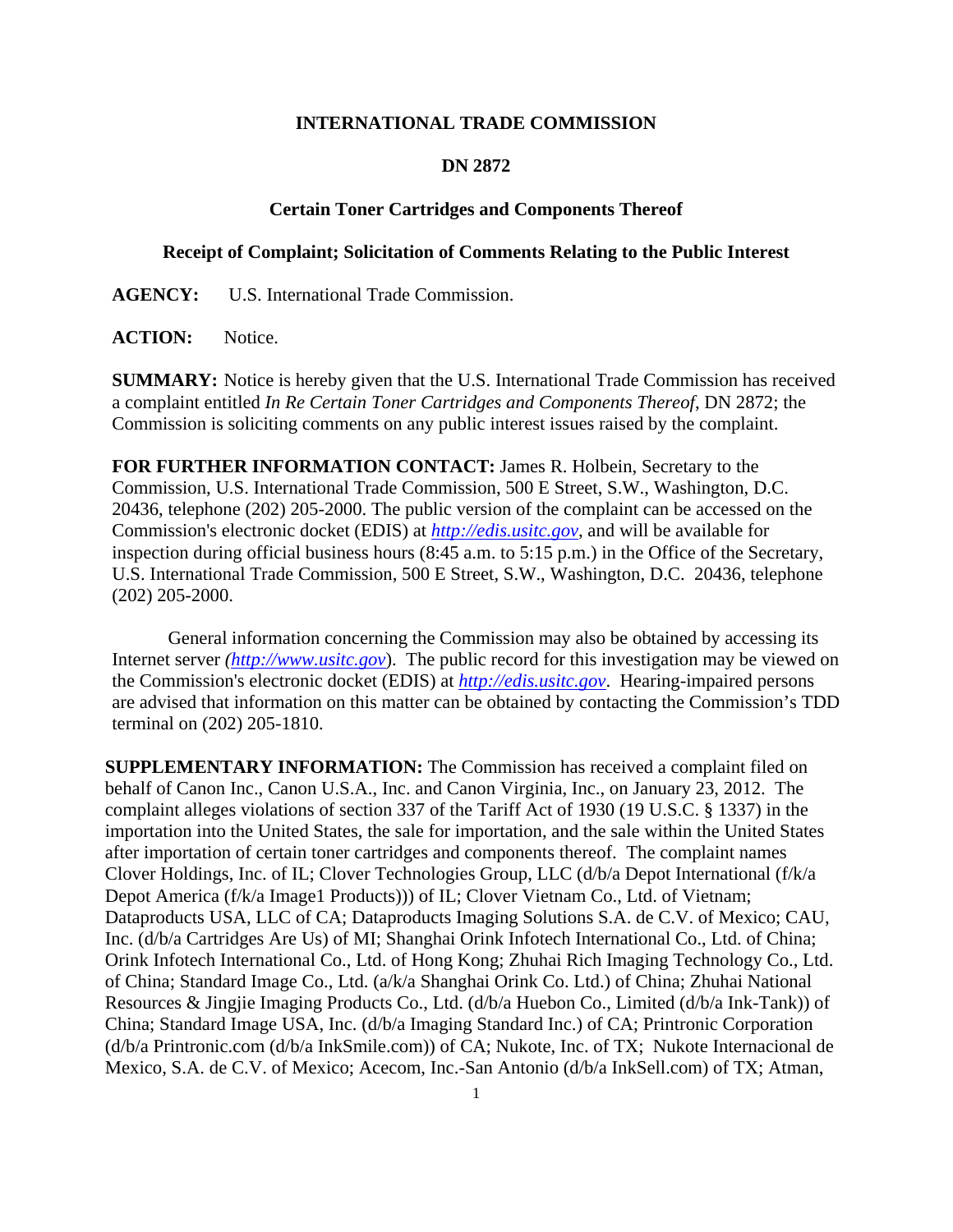## **INTERNATIONAL TRADE COMMISSION**

## **DN 2872**

## **Certain Toner Cartridges and Components Thereof**

## **Receipt of Complaint; Solicitation of Comments Relating to the Public Interest**

**AGENCY:** U.S. International Trade Commission.

ACTION: Notice.

**SUMMARY:** Notice is hereby given that the U.S. International Trade Commission has received a complaint entitled *In Re Certain Toner Cartridges and Components Thereof*, DN 2872; the Commission is soliciting comments on any public interest issues raised by the complaint.

**FOR FURTHER INFORMATION CONTACT:** James R. Holbein, Secretary to the Commission, U.S. International Trade Commission, 500 E Street, S.W., Washington, D.C. 20436, telephone (202) 205-2000. The public version of the complaint can be accessed on the Commission's electronic docket (EDIS) at *http://edis.usitc.gov*, and will be available for inspection during official business hours (8:45 a.m. to 5:15 p.m.) in the Office of the Secretary, U.S. International Trade Commission, 500 E Street, S.W., Washington, D.C. 20436, telephone (202) 205-2000.

General information concerning the Commission may also be obtained by accessing its Internet server *(http://www.usitc.gov*). The public record for this investigation may be viewed on the Commission's electronic docket (EDIS) at *http://edis.usitc.gov*. Hearing-impaired persons are advised that information on this matter can be obtained by contacting the Commission's TDD terminal on (202) 205-1810.

**SUPPLEMENTARY INFORMATION:** The Commission has received a complaint filed on behalf of Canon Inc., Canon U.S.A., Inc. and Canon Virginia, Inc., on January 23, 2012. The complaint alleges violations of section 337 of the Tariff Act of 1930 (19 U.S.C. § 1337) in the importation into the United States, the sale for importation, and the sale within the United States after importation of certain toner cartridges and components thereof. The complaint names Clover Holdings, Inc. of IL; Clover Technologies Group, LLC (d/b/a Depot International (f/k/a Depot America (f/k/a Image1 Products))) of IL; Clover Vietnam Co., Ltd. of Vietnam; Dataproducts USA, LLC of CA; Dataproducts Imaging Solutions S.A. de C.V. of Mexico; CAU, Inc. (d/b/a Cartridges Are Us) of MI; Shanghai Orink Infotech International Co., Ltd. of China; Orink Infotech International Co., Ltd. of Hong Kong; Zhuhai Rich Imaging Technology Co., Ltd. of China; Standard Image Co., Ltd. (a/k/a Shanghai Orink Co. Ltd.) of China; Zhuhai National Resources & Jingjie Imaging Products Co., Ltd. (d/b/a Huebon Co., Limited (d/b/a Ink-Tank)) of China; Standard Image USA, Inc. (d/b/a Imaging Standard Inc.) of CA; Printronic Corporation (d/b/a Printronic.com (d/b/a InkSmile.com)) of CA; Nukote, Inc. of TX; Nukote Internacional de Mexico, S.A. de C.V. of Mexico; Acecom, Inc.-San Antonio (d/b/a InkSell.com) of TX; Atman,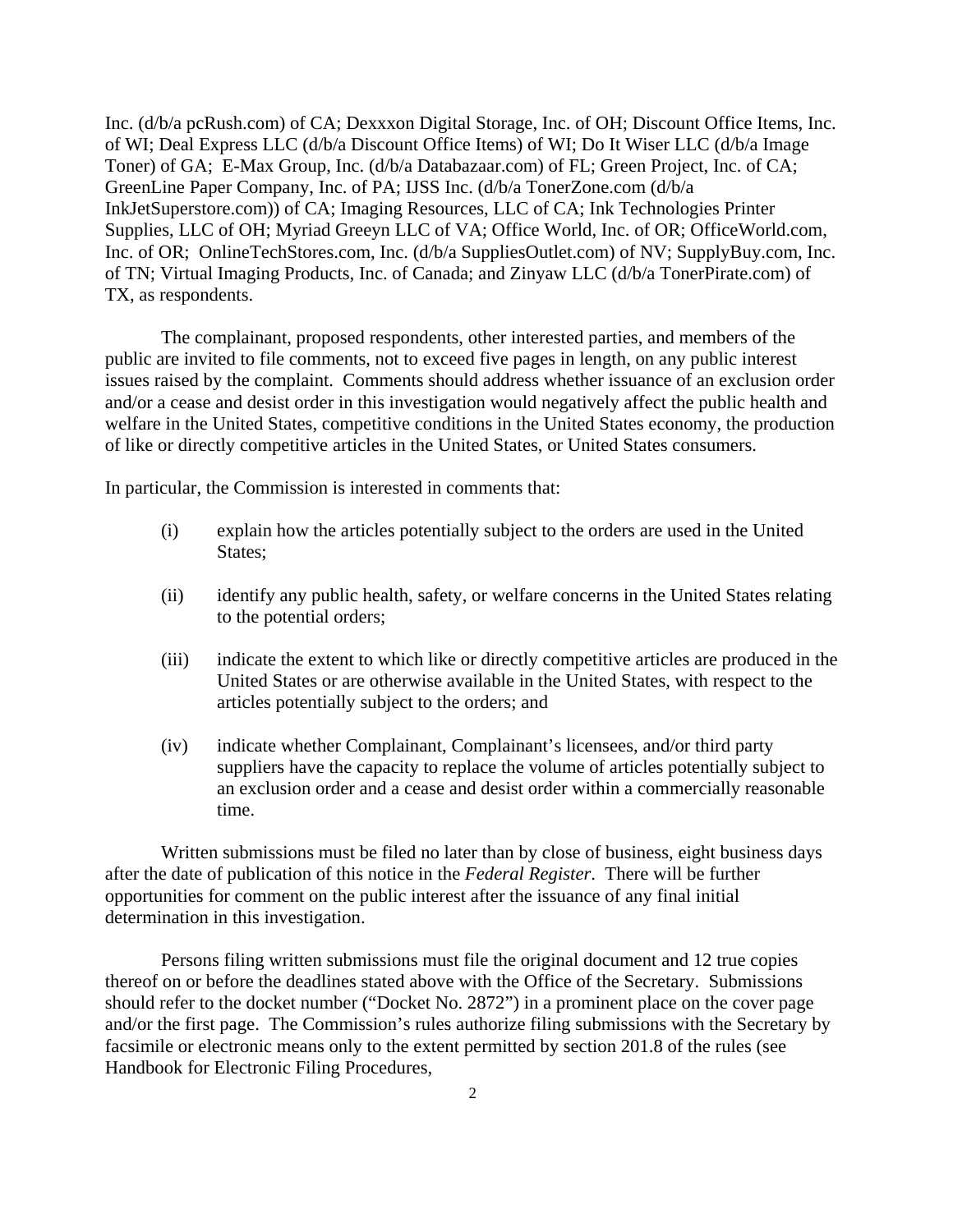Inc. (d/b/a pcRush.com) of CA; Dexxxon Digital Storage, Inc. of OH; Discount Office Items, Inc. of WI; Deal Express LLC (d/b/a Discount Office Items) of WI; Do It Wiser LLC (d/b/a Image Toner) of GA; E-Max Group, Inc. (d/b/a Databazaar.com) of FL; Green Project, Inc. of CA; GreenLine Paper Company, Inc. of PA; IJSS Inc. (d/b/a TonerZone.com (d/b/a InkJetSuperstore.com)) of CA; Imaging Resources, LLC of CA; Ink Technologies Printer Supplies, LLC of OH; Myriad Greeyn LLC of VA; Office World, Inc. of OR; OfficeWorld.com, Inc. of OR; OnlineTechStores.com, Inc. (d/b/a SuppliesOutlet.com) of NV; SupplyBuy.com, Inc. of TN; Virtual Imaging Products, Inc. of Canada; and Zinyaw LLC (d/b/a TonerPirate.com) of TX, as respondents.

 The complainant, proposed respondents, other interested parties, and members of the public are invited to file comments, not to exceed five pages in length, on any public interest issues raised by the complaint. Comments should address whether issuance of an exclusion order and/or a cease and desist order in this investigation would negatively affect the public health and welfare in the United States, competitive conditions in the United States economy, the production of like or directly competitive articles in the United States, or United States consumers.

In particular, the Commission is interested in comments that:

- (i) explain how the articles potentially subject to the orders are used in the United States;
- (ii) identify any public health, safety, or welfare concerns in the United States relating to the potential orders;
- (iii) indicate the extent to which like or directly competitive articles are produced in the United States or are otherwise available in the United States, with respect to the articles potentially subject to the orders; and
- (iv) indicate whether Complainant, Complainant's licensees, and/or third party suppliers have the capacity to replace the volume of articles potentially subject to an exclusion order and a cease and desist order within a commercially reasonable time.

 Written submissions must be filed no later than by close of business, eight business days after the date of publication of this notice in the *Federal Register*. There will be further opportunities for comment on the public interest after the issuance of any final initial determination in this investigation.

 Persons filing written submissions must file the original document and 12 true copies thereof on or before the deadlines stated above with the Office of the Secretary. Submissions should refer to the docket number ("Docket No. 2872") in a prominent place on the cover page and/or the first page. The Commission's rules authorize filing submissions with the Secretary by facsimile or electronic means only to the extent permitted by section 201.8 of the rules (see Handbook for Electronic Filing Procedures,